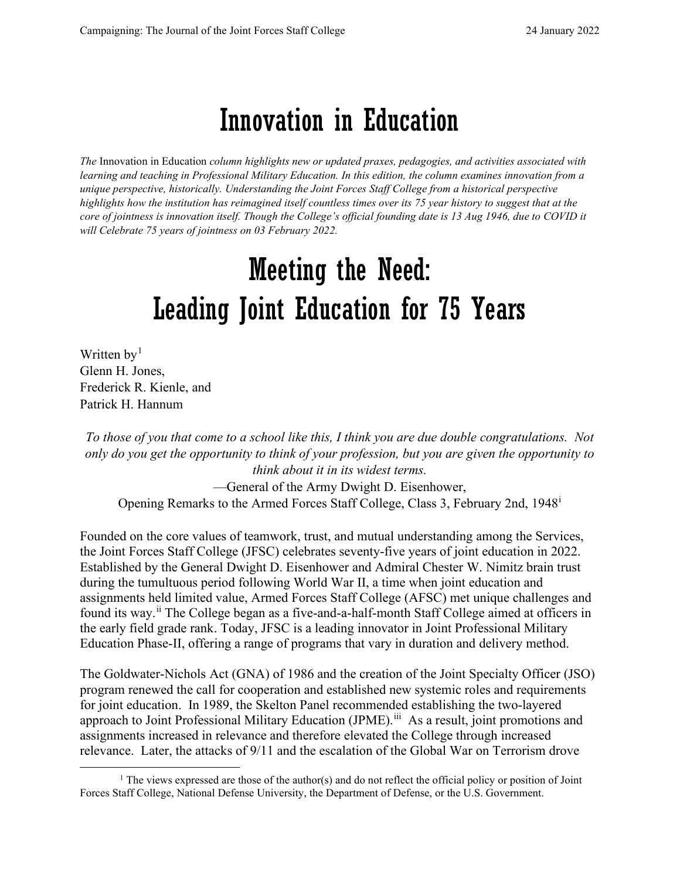## Innovation in Education

*The* Innovation in Education *column highlights new or updated praxes, pedagogies, and activities associated with learning and teaching in Professional Military Education. In this edition, the column examines innovation from a unique perspective, historically. Understanding the Joint Forces Staff College from a historical perspective highlights how the institution has reimagined itself countless times over its 75 year history to suggest that at the core of jointness is innovation itself. Though the College's official founding date is 13 Aug 1946, due to COVID it will Celebrate 75 years of jointness on 03 February 2022.*

# Meeting the Need: Leading Joint Education for 75 Years

Written  $by<sup>1</sup>$  $by<sup>1</sup>$  $by<sup>1</sup>$ Glenn H. Jones, Frederick R. Kienle, and Patrick H. Hannum

*To those of you that come to a school like this, I think you are due double congratulations. Not only do you get the opportunity to think of your profession, but you are given the opportunity to think about it in its widest terms.*

—General of the Army Dwight D. Eisenhower, Opening Remarks to the Armed Forces Staff College, Class 3, February 2nd, 1948[i](#page-10-0)

Founded on the core values of teamwork, trust, and mutual understanding among the Services, the Joint Forces Staff College (JFSC) celebrates seventy-five years of joint education in 2022. Established by the General Dwight D. Eisenhower and Admiral Chester W. Nimitz brain trust during the tumultuous period following World War II, a time when joint education and assignments held limited value, Armed Forces Staff College (AFSC) met unique challenges and found its way.<sup>[ii](#page-10-1)</sup> The College began as a five-and-a-half-month Staff College aimed at officers in the early field grade rank. Today, JFSC is a leading innovator in Joint Professional Military Education Phase-II, offering a range of programs that vary in duration and delivery method.

The Goldwater-Nichols Act (GNA) of 1986 and the creation of the Joint Specialty Officer (JSO) program renewed the call for cooperation and established new systemic roles and requirements for joint education. In 1989, the Skelton Panel recommended establishing the two-layered approach to Joint Professional Military Education (JPME).<sup>iii</sup> As a result, joint promotions and assignments increased in relevance and therefore elevated the College through increased relevance. Later, the attacks of 9/11 and the escalation of the Global War on Terrorism drove

<span id="page-0-0"></span> $<sup>1</sup>$  The views expressed are those of the author(s) and do not reflect the official policy or position of Joint</sup> Forces Staff College, National Defense University, the Department of Defense, or the U.S. Government.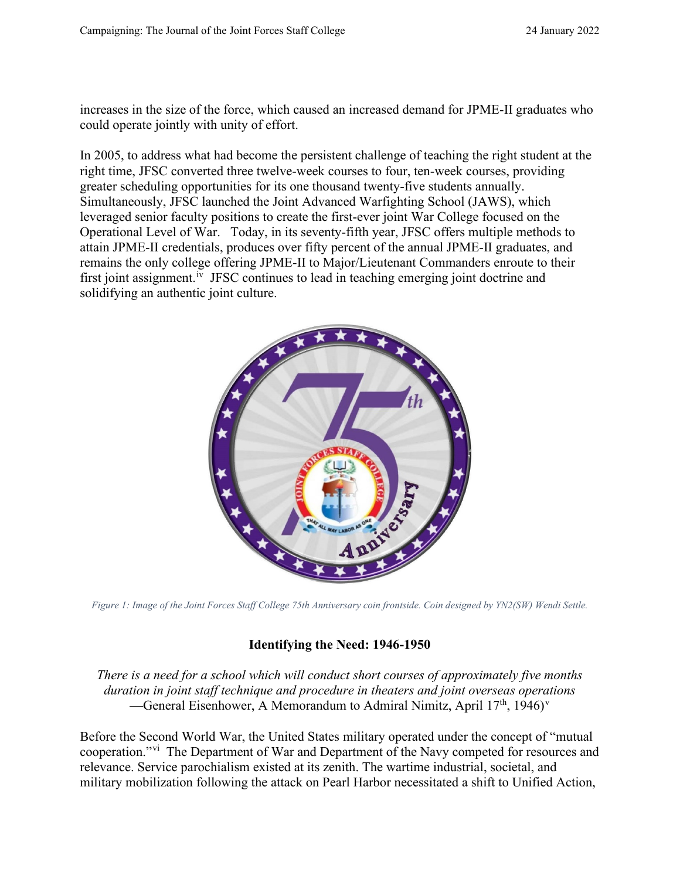increases in the size of the force, which caused an increased demand for JPME-II graduates who could operate jointly with unity of effort.

In 2005, to address what had become the persistent challenge of teaching the right student at the right time, JFSC converted three twelve-week courses to four, ten-week courses, providing greater scheduling opportunities for its one thousand twenty-five students annually. Simultaneously, JFSC launched the Joint Advanced Warfighting School (JAWS), which leveraged senior faculty positions to create the first-ever joint War College focused on the Operational Level of War. Today, in its seventy-fifth year, JFSC offers multiple methods to attain JPME-II credentials, produces over fifty percent of the annual JPME-II graduates, and remains the only college offering JPME-II to Major/Lieutenant Commanders enroute to their first joint assignment.<sup>[iv](#page-10-3)</sup> JFSC continues to lead in teaching emerging joint doctrine and solidifying an authentic joint culture.



*Figure 1: Image of the Joint Forces Staff College 75th Anniversary coin frontside. Coin designed by YN2(SW) Wendi Settle.*

## **Identifying the Need: 1946-1950**

*There is a need for a school which will conduct short courses of approximately five months duration in joint staff technique and procedure in theaters and joint overseas operations* —General Eisenhower, A Memorandum to Admiral Nimitz, April  $17<sup>th</sup>$ ,  $1946$ <sup>y</sup>

Before the Second World War, the United States military operated under the concept of "mutual cooperation."[vi](#page-10-5) The Department of War and Department of the Navy competed for resources and relevance. Service parochialism existed at its zenith. The wartime industrial, societal, and military mobilization following the attack on Pearl Harbor necessitated a shift to Unified Action,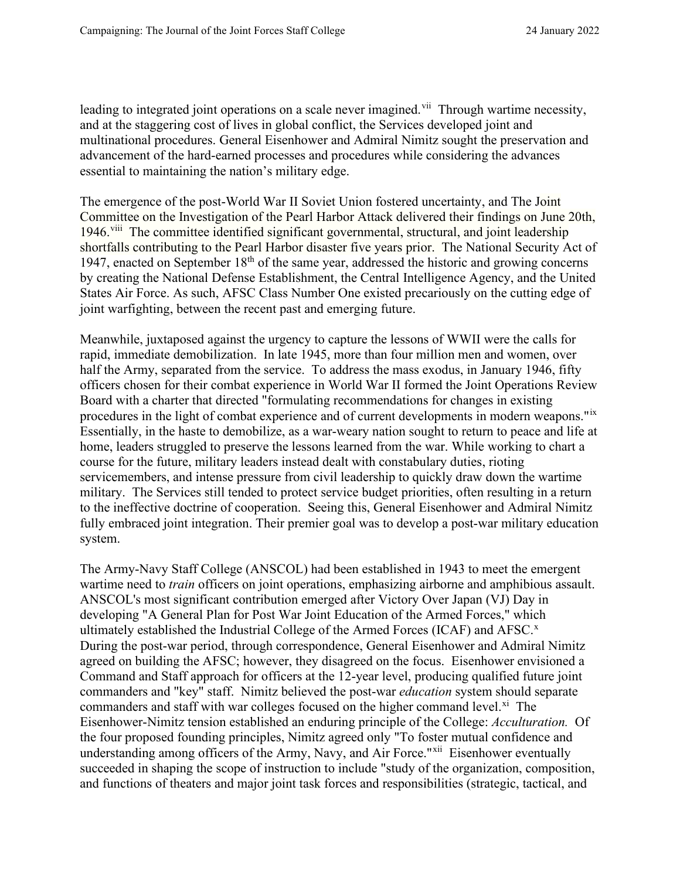leading to integrated joint operations on a scale never imagined.<sup>[vii](#page-11-0)</sup> Through wartime necessity, and at the staggering cost of lives in global conflict, the Services developed joint and multinational procedures. General Eisenhower and Admiral Nimitz sought the preservation and advancement of the hard-earned processes and procedures while considering the advances essential to maintaining the nation's military edge.

The emergence of the post-World War II Soviet Union fostered uncertainty, and The Joint Committee on the Investigation of the Pearl Harbor Attack delivered their findings on June 20th, 1946.<sup>[viii](#page-11-1)</sup> The committee identified significant governmental, structural, and joint leadership shortfalls contributing to the Pearl Harbor disaster five years prior. The National Security Act of 1947, enacted on September  $18<sup>th</sup>$  of the same year, addressed the historic and growing concerns by creating the National Defense Establishment, the Central Intelligence Agency, and the United States Air Force. As such, AFSC Class Number One existed precariously on the cutting edge of joint warfighting, between the recent past and emerging future.

Meanwhile, juxtaposed against the urgency to capture the lessons of WWII were the calls for rapid, immediate demobilization. In late 1945, more than four million men and women, over half the Army, separated from the service. To address the mass exodus, in January 1946, fifty officers chosen for their combat experience in World War II formed the Joint Operations Review Board with a charter that directed "formulating recommendations for changes in existing procedures in the light of combat experience and of current developments in modern weapons." Essentially, in the haste to demobilize, as a war-weary nation sought to return to peace and life at home, leaders struggled to preserve the lessons learned from the war. While working to chart a course for the future, military leaders instead dealt with constabulary duties, rioting servicemembers, and intense pressure from civil leadership to quickly draw down the wartime military. The Services still tended to protect service budget priorities, often resulting in a return to the ineffective doctrine of cooperation. Seeing this, General Eisenhower and Admiral Nimitz fully embraced joint integration. Their premier goal was to develop a post-war military education system.

The Army-Navy Staff College (ANSCOL) had been established in 1943 to meet the emergent wartime need to *train* officers on joint operations, emphasizing airborne and amphibious assault. ANSCOL's most significant contribution emerged after Victory Over Japan (VJ) Day in developing "A General Plan for Post War Joint Education of the Armed Forces," which ultimately established the Industrial College of the Armed Forces (ICAF) and AFSC.<sup>[x](#page-11-3)</sup> During the post-war period, through correspondence, General Eisenhower and Admiral Nimitz agreed on building the AFSC; however, they disagreed on the focus. Eisenhower envisioned a Command and Staff approach for officers at the 12-year level, producing qualified future joint commanders and "key" staff. Nimitz believed the post-war *education* system should separate commanders and staff with war colleges focused on the higher command level. $\frac{x_i}{x_i}$  The Eisenhower-Nimitz tension established an enduring principle of the College: *Acculturation.* Of the four proposed founding principles, Nimitz agreed only "To foster mutual confidence and understanding among officers of the Army, Navy, and Air Force."<sup>xii</sup> Eisenhower eventually succeeded in shaping the scope of instruction to include "study of the organization, composition, and functions of theaters and major joint task forces and responsibilities (strategic, tactical, and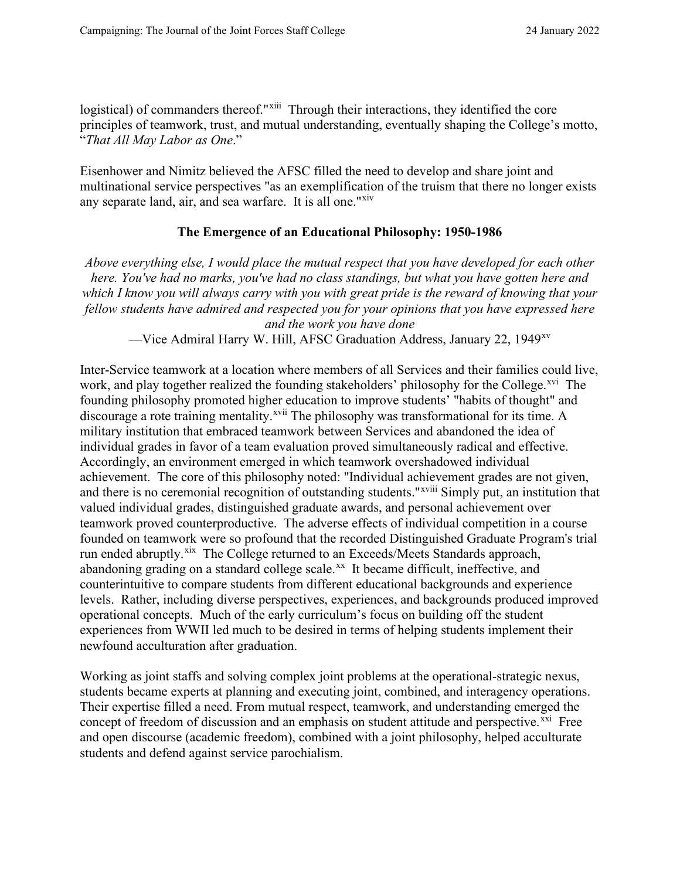logistical) of commanders thereof."<sup>xiii</sup> Through their interactions, they identified the core principles of teamwork, trust, and mutual understanding, eventually shaping the College's motto, "*That All May Labor as One*."

Eisenhower and Nimitz believed the AFSC filled the need to develop and share joint and multinational service perspectives "as an exemplification of the truism that there no longer exists any separate land, air, and sea warfare. It is all one."<sup>xiv</sup>

### **The Emergence of an Educational Philosophy: 1950-1986**

*Above everything else, I would place the mutual respect that you have developed for each other here. You've had no marks, you've had no class standings, but what you have gotten here and which I know you will always carry with you with great pride is the reward of knowing that your fellow students have admired and respected you for your opinions that you have expressed here and the work you have done*

—Vice Admiral Harry W. Hill, AFSC Graduation Address, January 22, 1949[xv](#page-11-8)

Inter-Service teamwork at a location where members of all Services and their families could live, work, and play together realized the founding stakeholders' philosophy for the College.<sup>[xvi](#page-11-9)</sup> The founding philosophy promoted higher education to improve students' "habits of thought" and discourage a rote training mentality.<sup>[xvii](#page-11-10)</sup> The philosophy was transformational for its time. A military institution that embraced teamwork between Services and abandoned the idea of individual grades in favor of a team evaluation proved simultaneously radical and effective. Accordingly, an environment emerged in which teamwork overshadowed individual achievement. The core of this philosophy noted: "Individual achie[v](#page-11-11)ement grades are not given, and there is no ceremonial recognition of outstanding students."<sup>xviii</sup> Simply put, an institution that valued individual grades, distinguished graduate awards, and personal achievement over teamwork proved counterproductive. The adverse effects of individual competition in a course founded on teamwork were so profound that the recorded Distinguished Graduate Program's trial run ended abruptly.<sup>xix</sup> The College returned to an Exceeds/Meets Standards approach, abandoning grading on a standard college scale. $^{xx}$  It became difficult, ineffective, and counterintuitive to compare students from different educational backgrounds and experience levels. Rather, including diverse perspectives, experiences, and backgrounds produced improved operational concepts. Much of the early curriculum's focus on building off the student experiences from WWII led much to be desired in terms of helping students implement their newfound acculturation after graduation.

Working as joint staffs and solving complex joint problems at the operational-strategic nexus, students became experts at planning and executing joint, combined, and interagency operations. Their expertise filled a need. From mutual respect, teamwork, and understanding emerged the concept of freedom of discussion and an emphasis on student attitude and perspective.<sup>[xxi](#page-11-14)</sup> Free and open discourse (academic freedom), combined with a joint philosophy, helped acculturate students and defend against service parochialism.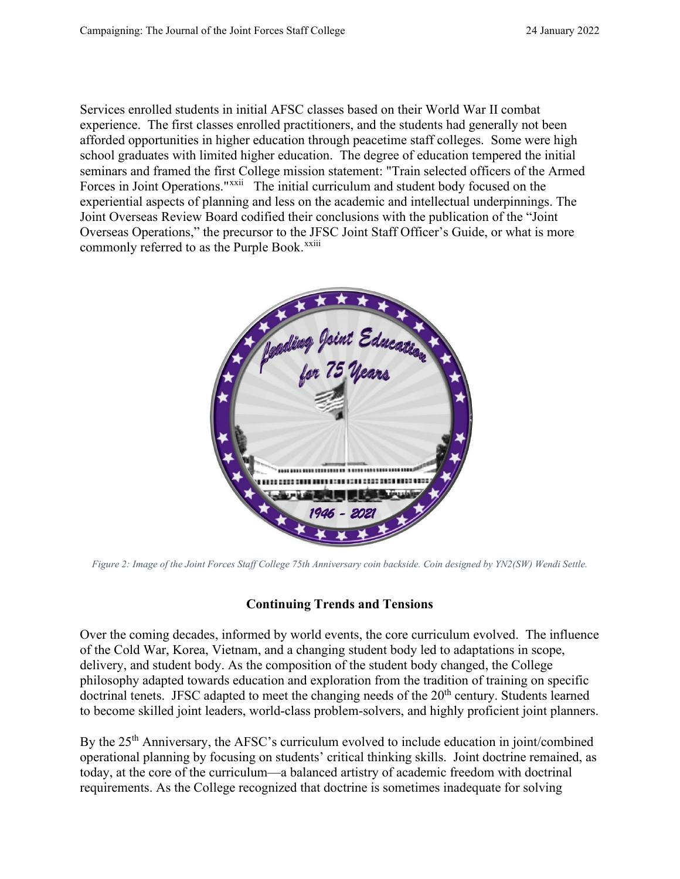Services enrolled students in initial AFSC classes based on their World War II combat experience. The first classes enrolled practitioners, and the students had generally not been afforded opportunities in higher education through peacetime staff colleges. Some were high school graduates with limited higher education. The degree of education tempered the initial seminars and framed the first College mission statement: "Train selected officers of the Armed Forces in Joint Operations."<sup>[xxii](#page-11-15)</sup> The initial curriculum and student body focused on the commonly referred to as the Purple Book.<sup>xxiii</sup> experiential aspects of planning and less on the academic and intellectual underpinnings. The Joint Overseas Review Board codified their conclusions with the publication of the "Joint Overseas Operations," the precursor to the J[FS](#page-11-16)C Joint Staff Officer's Guide, or what is more



*Figure 2: Image of the Joint Forces Staff College 75th Anniversary coin backside. Coin designed by YN2(SW) Wendi Settle.*

## **Continuing Trends and Tensions**

Over the coming decades, informed by world events, the core curriculum evolved. The influence of the Cold War, Korea, Vietnam, and a changing student body led to adaptations in scope, delivery, and student body. As the composition of the student body changed, the College philosophy adapted towards education and exploration from the tradition of training on specific doctrinal tenets. JFSC adapted to meet the changing needs of the 20<sup>th</sup> century. Students learned to become skilled joint leaders, world-class problem-solvers, and highly proficient joint planners.

By the 25<sup>th</sup> Anniversary, the AFSC's curriculum evolved to include education in joint/combined operational planning by focusing on students' critical thinking skills. Joint doctrine remained, as today, at the core of the curriculum—a balanced artistry of academic freedom with doctrinal requirements. As the College recognized that doctrine is sometimes inadequate for solving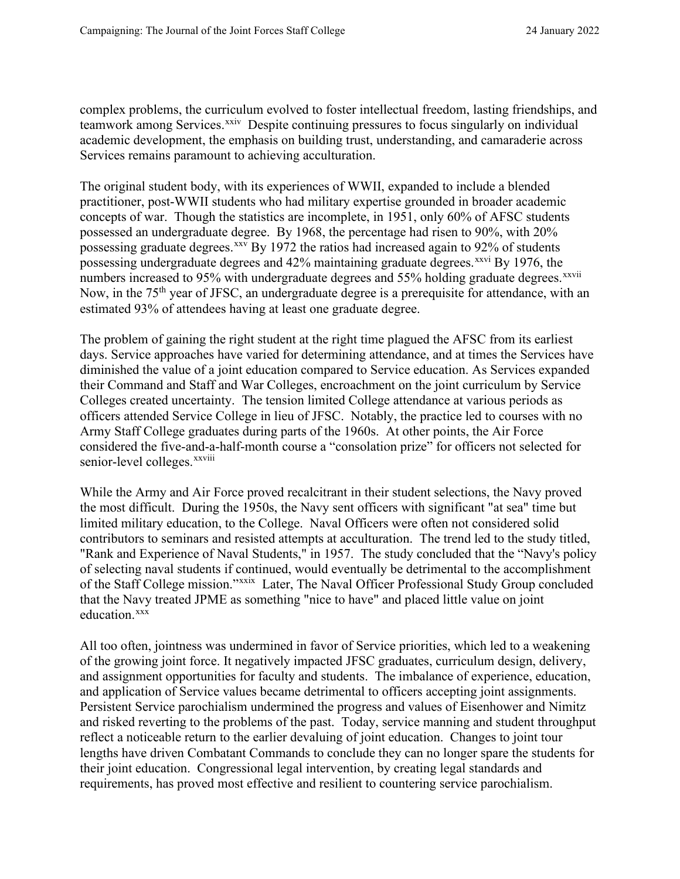complex problems, the curriculum evolved to foster intellectual freedom, lasting friendships, and teamwork among Services.<sup>[xxiv](#page-11-17)</sup> Despite continuing pressures to focus singularly on individual academic development, the emphasis on building trust, understanding, and camaraderie across Services remains paramount to achieving acculturation.

The original student body, with its experiences of WWII, expanded to include a blended practitioner, post-WWII students who had military expertise grounded in broader academic concepts of war. Though the statistics are incomplete, in 1951, only 60% of AFSC students possessed an undergraduate degree. By 1968, the percentage had risen to 90%, with 20% possessing graduate degrees.<sup>[xxv](#page-11-18)</sup> By 1972 the ratios had increased again to 92% of students numbersincreased to 95% with undergraduate degrees and 55% holding graduate degrees.<sup>xxvii</sup> possessing undergraduate degrees and  $42\%$  maintaining graduate degrees.<sup> $xxvi$ </sup> By 1976, the Now, in the 75<sup>th</sup> year of JFSC, an undergraduate degree is a prerequisite for attendance, with an estimated 93% of attendees having at least one graduate degree.

The problem of gaining the right student at the right time plagued the AFSC from its earliest days. Service approaches have varied for determining attendance, and at times the Services have diminished the value of a joint education compared to Service education. As Services expanded their Command and Staff and War Colleges, encroachment on the joint curriculum by Service Colleges created uncertainty. The tension limited College attendance at various periods as officers attended Service College in lieu of JFSC. Notably, the practice led to courses with no Army Staff College graduates during parts of the 1960s. At other points, the Air Force considered the five-and-a[-](#page-11-21)half-month course a "consolation prize" for officers not selected for senior-level colleges.<sup>xxviii</sup>

While the Army and Air Force proved recalcitrant in their student selections, the Navy proved the most difficult. During the 1950s, the Navy sent officers with significant "at sea" time but limited military education, to the College. Naval Officers were often not considered solid contributors to seminars and resisted attempts at acculturation. The trend led to the study titled, "Rank and Experience of Naval Students," in 1957. The study concluded that the "Navy's policy of selecting naval students if continued, would eventually be detrimental to the accomplishment of the Staff College mission."<sup>[xxix](#page-11-22)</sup> Later, The Naval Officer Professional Study Group concluded that the Navy treated JPME as something "nice to have" and placed little value on joint education.<sup>[xxx](#page-11-23)</sup>

All too often, jointness was undermined in favor of Service priorities, which led to a weakening of the growing joint force. It negatively impacted JFSC graduates, curriculum design, delivery, and assignment opportunities for faculty and students. The imbalance of experience, education, and application of Service values became detrimental to officers accepting joint assignments. Persistent Service parochialism undermined the progress and values of Eisenhower and Nimitz and risked reverting to the problems of the past. Today, service manning and student throughput reflect a noticeable return to the earlier devaluing of joint education. Changes to joint tour lengths have driven Combatant Commands to conclude they can no longer spare the students for their joint education. Congressional legal intervention, by creating legal standards and requirements, has proved most effective and resilient to countering service parochialism.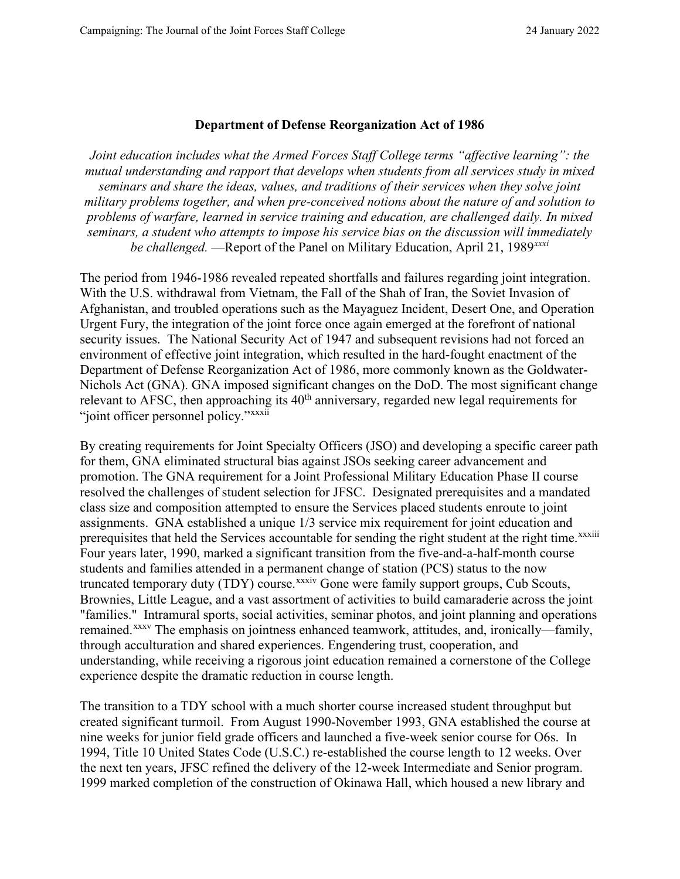#### **Department of Defense Reorganization Act of 1986**

*Joint education includes what the Armed Forces Staff College terms "affective learning": the mutual understanding and rapport that develops when students from all services study in mixed seminars and share the ideas, values, and traditions of their services when they solve joint military problems together, and when pre-conceived notions about the nature of and solution to problems of warfare, learned in service training and education, are challenged daily. In mixed seminars, a student who attempts to impose his service bias on the discussion will immediately be challenged.* —Report of the Panel on Military Education, April 21, 1989*[xxxi](#page-11-24)*

The period from 1946-1986 revealed repeated shortfalls and failures regarding joint integration. With the U.S. withdrawal from Vietnam, the Fall of the Shah of Iran, the Soviet Invasion of Afghanistan, and troubled operations such as the Mayaguez Incident, Desert One, and Operation Urgent Fury, the integration of the joint force once again emerged at the forefront of national security issues. The National Security Act of 1947 and subsequent revisions had not forced an environment of effective joint integration, which resulted in the hard-fought enactment of the Department of Defense Reorganization Act of 1986, more commonly known as the Goldwater-Nichols Act (GNA). GNA imposed significant changes on the DoD. The most significant change relevant to AFSC, then approachin[g](#page-11-25) its  $40<sup>th</sup>$  anniversary, regarded new legal requirements for "joint officer personnel policy."<sup>xxxii</sup>

By creating requirements for Joint Specialty Officers (JSO) and developing a specific career path for them, GNA eliminated structural bias against JSOs seeking career advancement and promotion. The GNA requirement for a Joint Professional Military Education Phase II course resolved the challenges of student selection for JFSC. Designated prerequisites and a mandated class size and composition attempted to ensure the Services placed students enroute to joint assignments. GNA established a unique 1/3 service mix requirement for joint education and prerequisites that held the Services accountable for sending the right student at the right time.<sup>xxxiii</sup> Four years later, 1990, marked a significant transition from the five-and-a-half-month course students and families attended in a permane[nt](#page-12-0) change of station (PCS) status to the now truncated temporary duty (TDY) course.<sup>xxxiv</sup> Gone were family support groups, Cub Scouts, Brownies, Little League, and a vast assortment of activities to build camaraderie across the joint "families." Intramural sports, social activities, seminar photos, and joint planning and operations remained.[xxxv](#page-12-1) The emphasis on jointness enhanced teamwork, attitudes, and, ironically—family, through acculturation and shared experiences. Engendering trust, cooperation, and understanding, while receiving a rigorous joint education remained a cornerstone of the College experience despite the dramatic reduction in course length.

The transition to a TDY school with a much shorter course increased student throughput but created significant turmoil. From August 1990-November 1993, GNA established the course at nine weeks for junior field grade officers and launched a five-week senior course for O6s. In 1994, Title 10 United States Code (U.S.C.) re-established the course length to 12 weeks. Over the next ten years, JFSC refined the delivery of the 12-week Intermediate and Senior program. 1999 marked completion of the construction of Okinawa Hall, which housed a new library and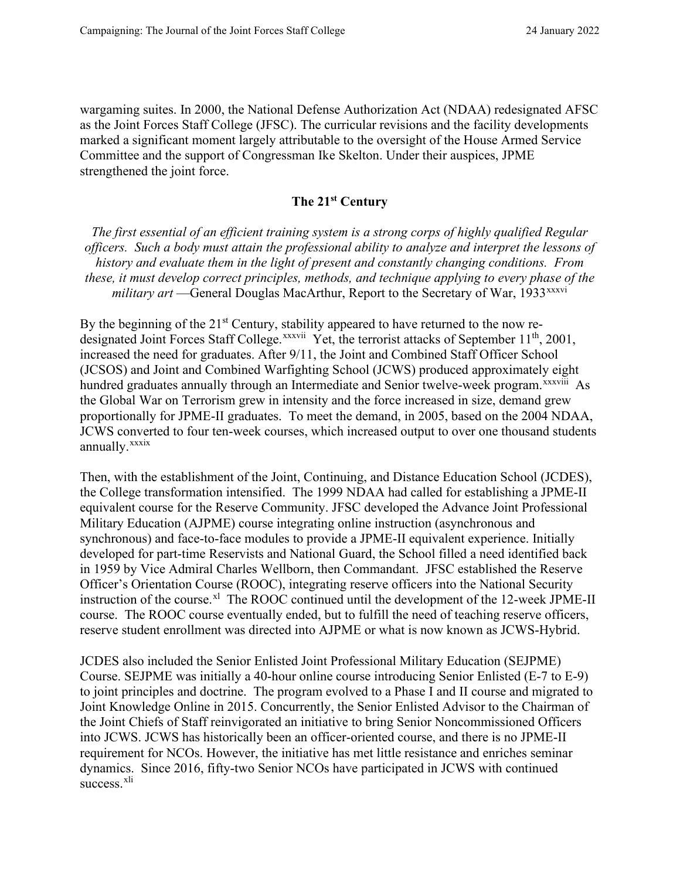wargaming suites. In 2000, the National Defense Authorization Act (NDAA) redesignated AFSC as the Joint Forces Staff College (JFSC). The curricular revisions and the facility developments marked a significant moment largely attributable to the oversight of the House Armed Service Committee and the support of Congressman Ike Skelton. Under their auspices, JPME strengthened the joint force.

## **The 21st Century**

*The first essential of an efficient training system is a strong corps of highly qualified Regular officers. Such a body must attain the professional ability to analyze and interpret the lessons of history and evaluate them in the light of present and constantly changing conditions. From these, it must develop correct principles, methods, and technique applying to every phase [o](#page-12-2)f the military art* —General Douglas MacArthur, Report to the Secretary of War, 1933<sup>xxxvi</sup>

By the beginning of the  $21<sup>st</sup>$  Century, stability appeared to have returned to the now re-designated Joint Forces Staff College.<sup>xxxvii</sup> [Y](#page-12-3)et, the terrorist attacks of September 11<sup>th</sup>, 2001, hundredgraduates annually through an Intermediate and Senior twelve-week program. XXXViii As annually.<sup>xxxix</sup> increased the need for graduates. After 9/11, the Joint and Combined Staff Officer School (JCSOS) and Joint and Combined Warfighting School (JCWS) produced approximately eight the Global War on Terrorism grew in intensity and the force increased in size, demand grew proportionally for JPME-II graduates. To meet the demand, in 2005, based on the 2004 NDAA, JCWS conve[r](#page-12-5)ted to four ten-week courses, which increased output to over one thousand students

Then, with the establishment of the Joint, Continuing, and Distance Education School (JCDES), the College transformation intensified. The 1999 NDAA had called for establishing a JPME-II equivalent course for the Reserve Community. JFSC developed the Advance Joint Professional Military Education (AJPME) course integrating online instruction (asynchronous and synchronous) and face-to-face modules to provide a JPME-II equivalent experience. Initially developed for part-time Reservists and National Guard, the School filled a need identified back in 1959 by Vice Admiral Charles Wellborn, then Commandant. JFSC established the Reserve Officer's Orientation Course (ROOC), integrating reserve officers into the National Security instruction of the course.<sup>[xl](#page-12-6)</sup> The ROOC continued until the development of the 12-week JPME-II course. The ROOC course eventually ended, but to fulfill the need of teaching reserve officers, reserve student enrollment was directed into AJPME or what is now known as JCWS-Hybrid.

JCDES also included the Senior Enlisted Joint Professional Military Education (SEJPME) Course. SEJPME was initially a 40-hour online course introducing Senior Enlisted (E-7 to E-9) to joint principles and doctrine. The program evolved to a Phase I and II course and migrated to Joint Knowledge Online in 2015. Concurrently, the Senior Enlisted Advisor to the Chairman of the Joint Chiefs of Staff reinvigorated an initiative to bring Senior Noncommissioned Officers into JCWS. JCWS has historically been an officer-oriented course, and there is no JPME-II requirement for NCOs. However, the initiative has met little resistance and enriches seminar dynamics. Since 2016, fifty-two Senior NCOs have participated in JCWS with continued success.<sup>[xli](#page-12-7)</sup>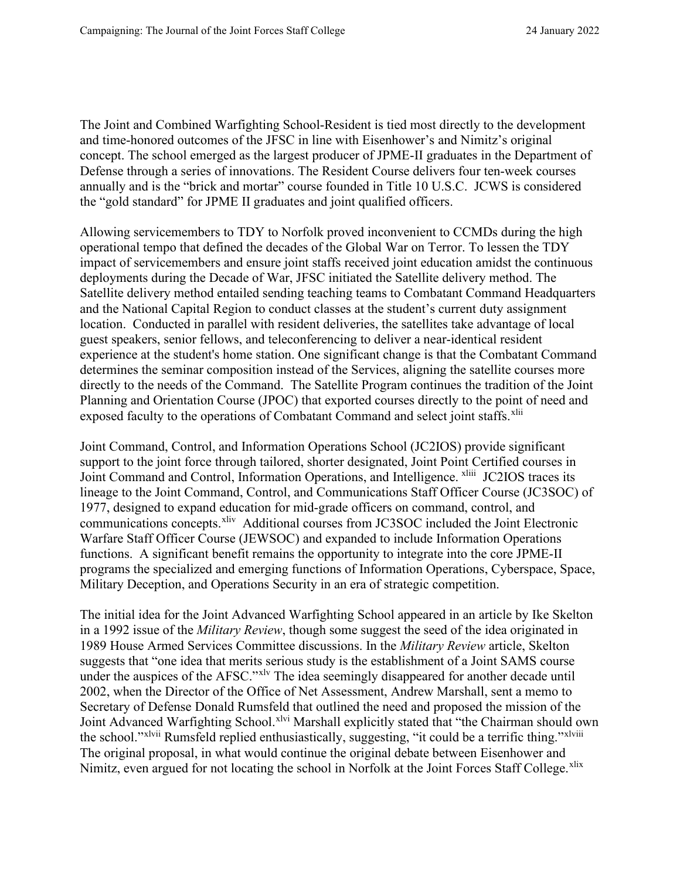The Joint and Combined Warfighting School-Resident is tied most directly to the development and time-honored outcomes of the JFSC in line with Eisenhower's and Nimitz's original concept. The school emerged as the largest producer of JPME-II graduates in the Department of Defense through a series of innovations. The Resident Course delivers four ten-week courses annually and is the "brick and mortar" course founded in Title 10 U.S.C. JCWS is considered the "gold standard" for JPME II graduates and joint qualified officers.

Allowing servicemembers to TDY to Norfolk proved inconvenient to CCMDs during the high operational tempo that defined the decades of the Global War on Terror. To lessen the TDY impact of servicemembers and ensure joint staffs received joint education amidst the continuous deployments during the Decade of War, JFSC initiated the Satellite delivery method. The Satellite delivery method entailed sending teaching teams to Combatant Command Headquarters and the National Capital Region to conduct classes at the student's current duty assignment location. Conducted in parallel with resident deliveries, the satellites take advantage of local guest speakers, senior fellows, and teleconferencing to deliver a near-identical resident experience at the student's home station. One significant change is that the Combatant Command determines the seminar composition instead of the Services, aligning the satellite courses more directly to the needs of the Command. The Satellite Program continues the tradition of the Joint Planning and Orientation Course (JPOC) that exported courses directly to the point of need and exposed faculty to the operations of Combatant Command and select joint staffs.<sup>[xlii](#page-12-8)</sup>

Joint Command, Control, and Information Operations School (JC2IOS) provide significant support to the joint force through tailored, shorter designated, Joint Point Certified courses in Joint Command and Control, Information Operations, and Intelligence. <sup>xliii</sup> [J](#page-12-9)C2IOS traces its lineage to the Joint Command, Control, and Communications Staff Officer Course (JC3SOC) of 1977, designed to expand education for mid-grade officers on command, control, and communications concepts.<sup>xliv</sup> Additional courses from JC3SOC included the Joint Electronic Warfare Staff Officer Course (JEWSOC) and expanded to include Information Operations functions. A significant benefit remains the opportunity to integrate into the core JPME-II programs the specialized and emerging functions of Information Operations, Cyberspace, Space, Military Deception, and Operations Security in an era of strategic competition.

The initial idea for the Joint Advanced Warfighting School appeared in an article by Ike Skelton in a 1992 issue of the *Military Review*, though some suggest the seed of the idea originated in 1989 House Armed Services Committee discussions. In the *Military Review* article, Skelton suggests that "one idea that merits serious study is the establishment of a Joint SAMS course under the auspices of the AFSC."<sup>[xlv](#page-12-11)</sup> The idea seemingly disappeared for another decade until the school."<sup>xlvii</sup> Rumsfeld replied enthusiastically, suggesting, "it could be a terrific thing."<sup>xlviii</sup> 2002, when the Director of the Office of Net Assessment, Andrew Marshall, sent a memo to Secretary of Defense Donald Rumsfeld that outlined the need and proposed the mission of the Joint Advance[d](#page-12-13) Warfighting School.<sup>[xlvi](#page-12-12)</sup> Marshall explicitly stated that "the Chairman should o[w](#page-12-14)n The original proposal, in what would continue the original debate between Eisenhower and Nimitz, even argued for not locating the school in Norfolk at the Joint Forces Staff College.<sup>[xlix](#page-12-15)</sup>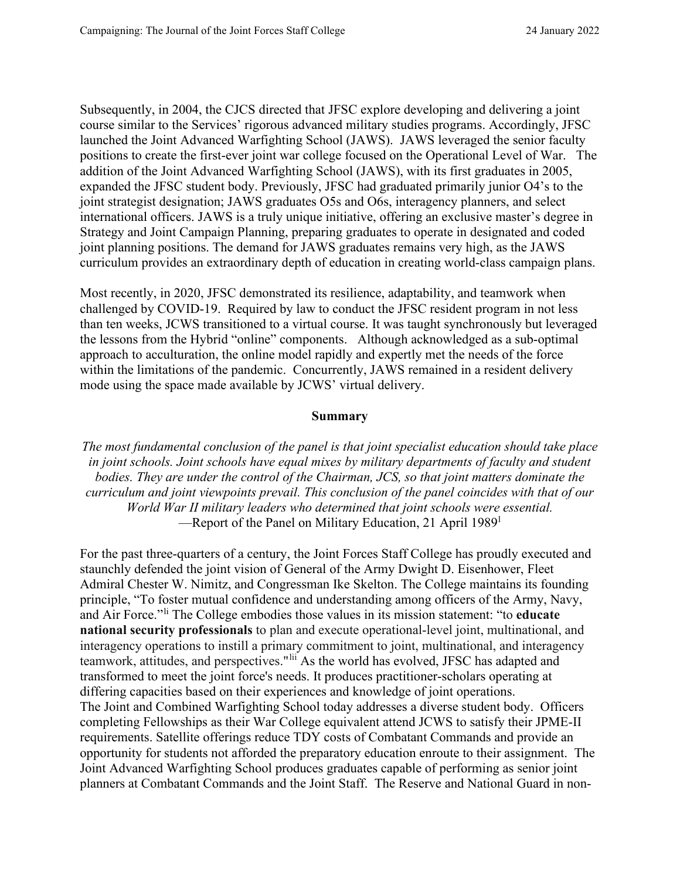Subsequently, in 2004, the CJCS directed that JFSC explore developing and delivering a joint course similar to the Services' rigorous advanced military studies programs. Accordingly, JFSC launched the Joint Advanced Warfighting School (JAWS). JAWS leveraged the senior faculty positions to create the first-ever joint war college focused on the Operational Level of War. The addition of the Joint Advanced Warfighting School (JAWS), with its first graduates in 2005, expanded the JFSC student body. Previously, JFSC had graduated primarily junior O4's to the joint strategist designation; JAWS graduates O5s and O6s, interagency planners, and select international officers. JAWS is a truly unique initiative, offering an exclusive master's degree in Strategy and Joint Campaign Planning, preparing graduates to operate in designated and coded joint planning positions. The demand for JAWS graduates remains very high, as the JAWS curriculum provides an extraordinary depth of education in creating world-class campaign plans.

Most recently, in 2020, JFSC demonstrated its resilience, adaptability, and teamwork when challenged by COVID-19. Required by law to conduct the JFSC resident program in not less than ten weeks, JCWS transitioned to a virtual course. It was taught synchronously but leveraged the lessons from the Hybrid "online" components. Although acknowledged as a sub-optimal approach to acculturation, the online model rapidly and expertly met the needs of the force within the limitations of the pandemic. Concurrently, JAWS remained in a resident delivery mode using the space made available by JCWS' virtual delivery.

#### **Summary**

*The most fundamental conclusion of the panel is that joint specialist education should take place in joint schools. Joint schools have equal mixes by military departments of faculty and student bodies. They are under the control of the Chairman, JCS, so that joint matters dominate the curriculum and joint viewpoints prevail. This conclusion of the panel coincides with that of our World War II military leaders who determined that joint schools were essential.* —Report of the Pane[l](#page-12-16) on Military Education, 21 April 1989<sup>1</sup>

For the past three-quarters of a century, the Joint Forces Staff College has proudly executed and staunchly defended the joint vision of General of the Army Dwight D. Eisenhower, Fleet Admiral Chester W. Nimitz, and Congressman Ike Skelton. The College maintains its founding principle, "To foster mutual confidence and understanding among officers of the Army, Navy, and Air Force."[li](#page-12-17) The College embodies those values in its mission statement: "to **educate national security professionals** to plan and execute operational-level joint, multinational, and interagency operations to instill a primary commitment to joint, multinational, and interagency teamwork, attitudes, and perspectives."[lii](#page-12-18) As the world has evolved, JFSC has adapted and transformed to meet the joint force's needs. It produces practitioner-scholars operating at differing capacities based on their experiences and knowledge of joint operations. The Joint and Combined Warfighting School today addresses a diverse student body. Officers completing Fellowships as their War College equivalent attend JCWS to satisfy their JPME-II requirements. Satellite offerings reduce TDY costs of Combatant Commands and provide an opportunity for students not afforded the preparatory education enroute to their assignment. The Joint Advanced Warfighting School produces graduates capable of performing as senior joint planners at Combatant Commands and the Joint Staff. The Reserve and National Guard in non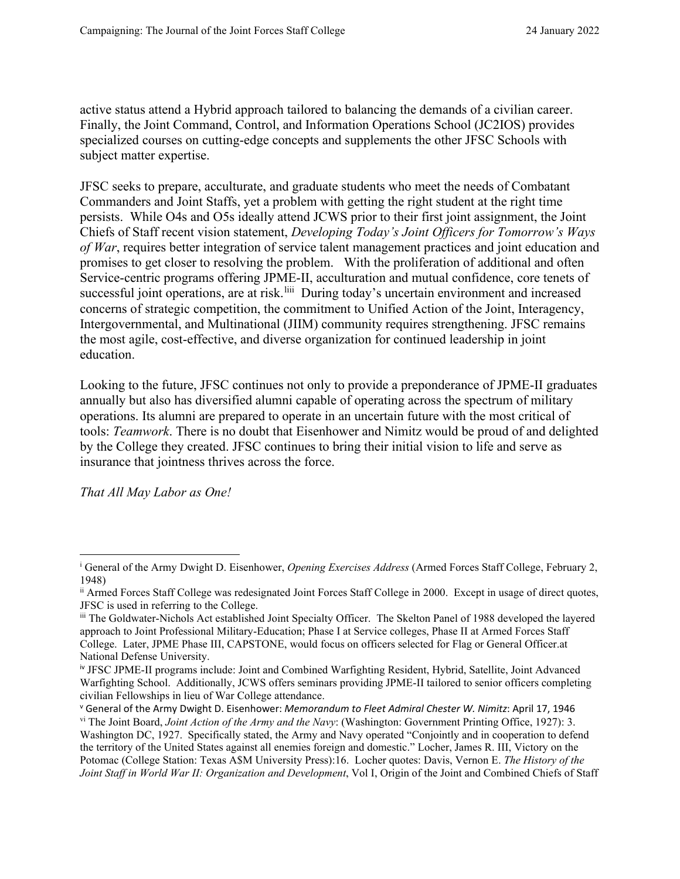active status attend a Hybrid approach tailored to balancing the demands of a civilian career. Finally, the Joint Command, Control, and Information Operations School (JC2IOS) provides specialized courses on cutting-edge concepts and supplements the other JFSC Schools with subject matter expertise.

JFSC seeks to prepare, acculturate, and graduate students who meet the needs of Combatant Commanders and Joint Staffs, yet a problem with getting the right student at the right time persists. While O4s and O5s ideally attend JCWS prior to their first joint assignment, the Joint Chiefs of Staff recent vision statement, *Developing Today's Joint Officers for Tomorrow's Ways of War*, requires better integration of service talent management practices and joint education and promises to get closer to resolving the problem. With the proliferation of additional and often Service-centric programs offering JPME-II, acculturation and mutual confidence, core tenets of successful joint operations, are at risk.<sup>[liii](#page-12-19)</sup> During today's uncertain environment and increased concerns of strategic competition, the commitment to Unified Action of the Joint, Interagency, Intergovernmental, and Multinational (JIIM) community requires strengthening. JFSC remains the most agile, cost-effective, and diverse organization for continued leadership in joint education.

Looking to the future, JFSC continues not only to provide a preponderance of JPME-II graduates annually but also has diversified alumni capable of operating across the spectrum of military operations. Its alumni are prepared to operate in an uncertain future with the most critical of tools: *Teamwork*. There is no doubt that Eisenhower and Nimitz would be proud of and delighted by the College they created. JFSC continues to bring their initial vision to life and serve as insurance that jointness thrives across the force.

*That All May Labor as One!* 

<span id="page-10-0"></span><sup>i</sup> General of the Army Dwight D. Eisenhower, *Opening Exercises Address* (Armed Forces Staff College, February 2, 1948)

<span id="page-10-1"></span>ii Armed Forces Staff College was redesignated Joint Forces Staff College in 2000. Except in usage of direct quotes, JFSC is used in referring to the College.

<span id="page-10-2"></span>iii The Goldwater-Nichols Act established Joint Specialty Officer. The Skelton Panel of 1988 developed the layered approach to Joint Professional Military-Education; Phase I at Service colleges, Phase II at Armed Forces Staff College. Later, JPME Phase III, CAPSTONE, would focus on officers selected for Flag or General Officer.at National Defense University.

<span id="page-10-3"></span>iv JFSC JPME-II programs include: Joint and Combined Warfighting Resident, Hybrid, Satellite, Joint Advanced Warfighting School. Additionally, JCWS offers seminars providing JPME-II tailored to senior officers completing civilian Fellowships in lieu of War College attendance.

<span id="page-10-5"></span><span id="page-10-4"></span><sup>v</sup> General of the Army Dwight D. Eisenhower: *Memorandum to Fleet Admiral Chester W. Nimitz*: April 17, 1946 vi The Joint Board, *Joint Action of the Army and the Navy*: (Washington: Government Printing Office, 1927): 3. Washington DC, 1927. Specifically stated, the Army and Navy operated "Conjointly and in cooperation to defend the territory of the United States against all enemies foreign and domestic." Locher, James R. III, Victory on the Potomac (College Station: Texas A\$M University Press):16. Locher quotes: Davis, Vernon E. *The History of the Joint Staff in World War II: Organization and Development*, Vol I, Origin of the Joint and Combined Chiefs of Staff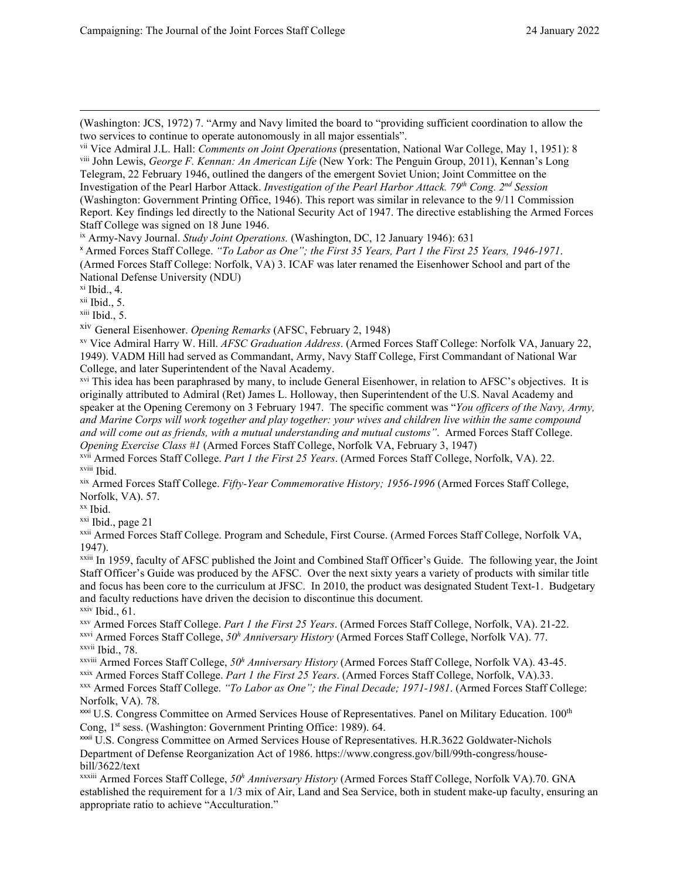(Washington: JCS, 1972) 7. "Army and Navy limited the board to "providing sufficient coordination to allow the two services to continue to operate autonomously in all major essentials".

<span id="page-11-1"></span>viii John Lewis, *George F. Kennan: An American Life* (New York: The Penguin Group, 2011), Kennan's Long Telegram, 22 February 1946, outlined the dangers of the emergent Soviet Union; Joint Committee on the Investigation of the Pearl Harbor Attack. *Investigation of the Pearl Harbor Attack. 79th Cong. 2nd Session* (Washington: Government Printing Office, 1946). This report was similar in relevance to the 9/11 Commission Report. Key findings led directly to the National Security Act of 1947. The directive establishing the Armed Forces Staff College was signed on 18 June 1946.

<span id="page-11-3"></span><sup>x</sup> Armed Forces Staff College. *"To Labor as One"; the First 35 Years, Part 1 the First 25 Years, 1946-1971*. (Armed Forces Staff College: Norfolk, VA) 3. ICAF was later renamed the Eisenhower School and part of the National Defense University (NDU)

<span id="page-11-4"></span> $x$ i Ibid., 4.

<span id="page-11-5"></span> $xii$  Ibid., 5.

<span id="page-11-6"></span> $xiii$  Ibid., 5.

<span id="page-11-7"></span>xiv General Eisenhower. *Opening Remarks* (AFSC, February 2, 1948)

<span id="page-11-8"></span>xv Vice Admiral Harry W. Hill. *AFSC Graduation Address*. (Armed Forces Staff College: Norfolk VA, January 22, 1949). VADM Hill had served as Commandant, Army, Navy Staff College, First Commandant of National War College, and later Superintendent of the Naval Academy.

<span id="page-11-9"></span><sup>xvi</sup> This idea has been paraphrased by many, to include General Eisenhower, in relation to AFSC's objectives. It is originally attributed to Admiral (Ret) James L. Holloway, then Superintendent of the U.S. Naval Academy and speaker at the Opening Ceremony on 3 February 1947. The specific comment was "*You officers of the Navy, Army, and Marine Corps will work together and play together: your wives and children live within the same compound and will come out as friends, with a mutual understanding and mutual customs"*. Armed Forces Staff College. *Opening Exercise Class #1* (Armed Forces Staff College, Norfolk VA, February 3, 1947)

<span id="page-11-11"></span><span id="page-11-10"></span>xvii Armed Forces Staff College. *Part 1 the First 25 Years*. (Armed Forces Staff College, Norfolk, VA). 22. xviii Ibid.

<span id="page-11-12"></span>xix Armed Forces Staff College. *Fifty-Year Commemorative History; 1956-1996* (Armed Forces Staff College, Norfolk, VA). 57.

<span id="page-11-13"></span> $^{\rm xx}$  Ibid.

<span id="page-11-14"></span>xxi Ibid., page 21

<span id="page-11-15"></span>xxii Armed Forces Staff College. Program and Schedule, First Course. (Armed Forces Staff College, Norfolk VA, 1947).

<span id="page-11-16"></span>xxiii In 1959, faculty of AFSC published the Joint and Combined Staff Officer's Guide. The following year, the Joint Staff Officer's Guide was produced by the AFSC. Over the next sixty years a variety of products with similar title and focus has been core to the curriculum at JFSC. In 2010, the product was designated Student Text-1. Budgetary and faculty reductions have driven the decision to discontinue this document.  $xxiv$  Ibid., 61.

<span id="page-11-18"></span><span id="page-11-17"></span>xxv Armed Forces Staff College. *Part 1 the First 25 Years*. (Armed Forces Staff College, Norfolk, VA). 21-22.

<span id="page-11-20"></span><span id="page-11-19"></span>xxvi Armed Forces Staff College, *50h Anniversary History* (Armed Forces Staff College, Norfolk VA). 77. xxvii Ibid., 78.

<span id="page-11-21"></span>xxviii Armed Forces Staff College, *50h Anniversary History* (Armed Forces Staff College, Norfolk VA). 43-45.

<span id="page-11-22"></span>xxix Armed Forces Staff College. *Part 1 the First 25 Years*. (Armed Forces Staff College, Norfolk, VA).33.

<span id="page-11-23"></span>xxx Armed Forces Staff College. *"To Labor as One"; the Final Decade; 1971-1981*. (Armed Forces Staff College: Norfolk, VA). 78.

<span id="page-11-24"></span><sup>xxxi</sup> U.S. Congress Committee on Armed Services House of Representatives. Panel on Military Education. 100<sup>th</sup> Cong, 1st sess. (Washington: Government Printing Office: 1989). 64.

<span id="page-11-25"></span>xxxii U.S. Congress Committee on Armed Services House of Representatives. H.R.3622 Goldwater-Nichols Department of Defense Reorganization Act of 1986. https://www.congress.gov/bill/99th-congress/housebill/3622/text

xxxiii Armed Forces Staff College, *50h Anniversary History* (Armed Forces Staff College, Norfolk VA).70. GNA established the requirement for a 1/3 mix of Air, Land and Sea Service, both in student make-up faculty, ensuring an appropriate ratio to achieve "Acculturation."

<span id="page-11-0"></span>vii Vice Admiral J.L. Hall: *Comments on Joint Operations* (presentation, National War College, May 1, 1951): 8

<span id="page-11-2"></span>ix Army-Navy Journal. *Study Joint Operations.* (Washington, DC, 12 January 1946): 631